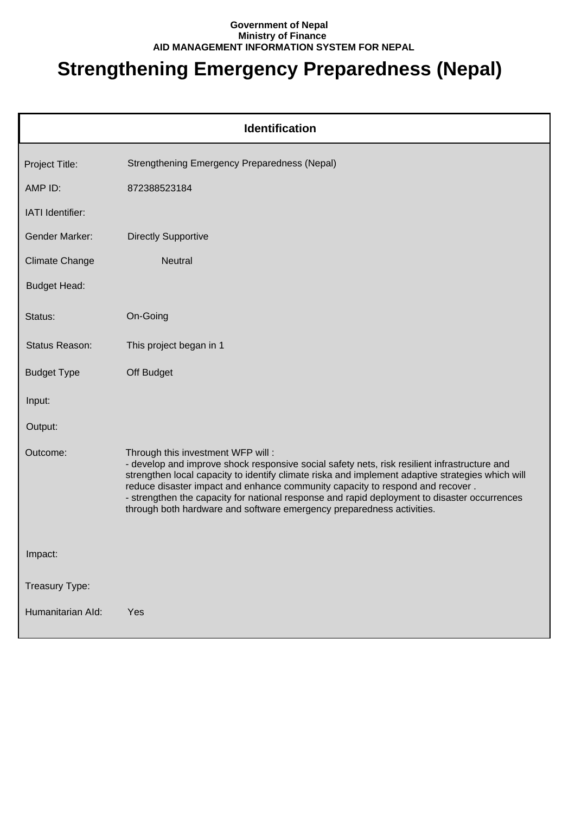## **Government of Nepal Ministry of Finance AID MANAGEMENT INFORMATION SYSTEM FOR NEPAL**

## **Strengthening Emergency Preparedness (Nepal)**

| <b>Identification</b> |                                                                                                                                                                                                                                                                                                                                                                                                                                                                                                 |  |
|-----------------------|-------------------------------------------------------------------------------------------------------------------------------------------------------------------------------------------------------------------------------------------------------------------------------------------------------------------------------------------------------------------------------------------------------------------------------------------------------------------------------------------------|--|
| Project Title:        | <b>Strengthening Emergency Preparedness (Nepal)</b>                                                                                                                                                                                                                                                                                                                                                                                                                                             |  |
| AMP ID:               | 872388523184                                                                                                                                                                                                                                                                                                                                                                                                                                                                                    |  |
| IATI Identifier:      |                                                                                                                                                                                                                                                                                                                                                                                                                                                                                                 |  |
| <b>Gender Marker:</b> | <b>Directly Supportive</b>                                                                                                                                                                                                                                                                                                                                                                                                                                                                      |  |
| <b>Climate Change</b> | <b>Neutral</b>                                                                                                                                                                                                                                                                                                                                                                                                                                                                                  |  |
| <b>Budget Head:</b>   |                                                                                                                                                                                                                                                                                                                                                                                                                                                                                                 |  |
| Status:               | On-Going                                                                                                                                                                                                                                                                                                                                                                                                                                                                                        |  |
| Status Reason:        | This project began in 1                                                                                                                                                                                                                                                                                                                                                                                                                                                                         |  |
| <b>Budget Type</b>    | Off Budget                                                                                                                                                                                                                                                                                                                                                                                                                                                                                      |  |
| Input:                |                                                                                                                                                                                                                                                                                                                                                                                                                                                                                                 |  |
| Output:               |                                                                                                                                                                                                                                                                                                                                                                                                                                                                                                 |  |
| Outcome:              | Through this investment WFP will:<br>- develop and improve shock responsive social safety nets, risk resilient infrastructure and<br>strengthen local capacity to identify climate riska and implement adaptive strategies which will<br>reduce disaster impact and enhance community capacity to respond and recover.<br>- strengthen the capacity for national response and rapid deployment to disaster occurrences<br>through both hardware and software emergency preparedness activities. |  |
| Impact:               |                                                                                                                                                                                                                                                                                                                                                                                                                                                                                                 |  |
| Treasury Type:        |                                                                                                                                                                                                                                                                                                                                                                                                                                                                                                 |  |
| Humanitarian Ald:     | Yes                                                                                                                                                                                                                                                                                                                                                                                                                                                                                             |  |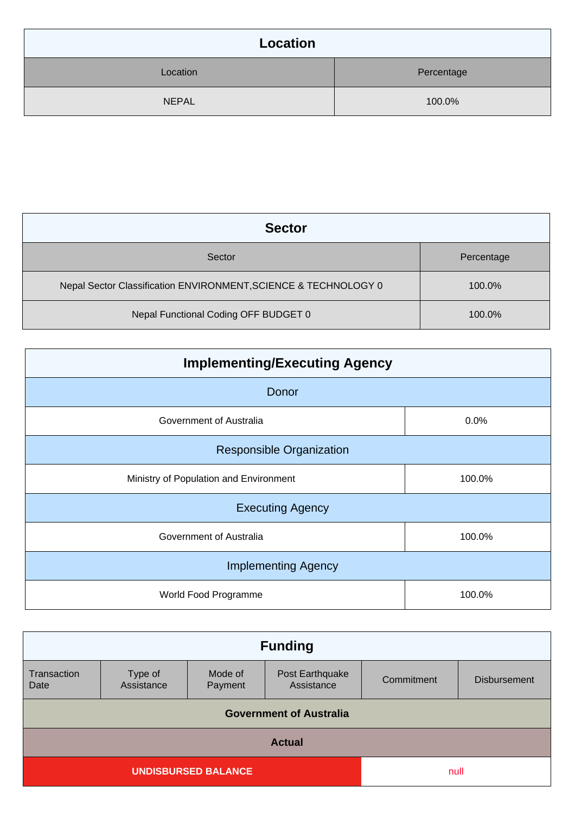| Location     |            |
|--------------|------------|
| Location     | Percentage |
| <b>NEPAL</b> | 100.0%     |

| <b>Sector</b>                                                   |            |  |
|-----------------------------------------------------------------|------------|--|
| Sector                                                          | Percentage |  |
| Nepal Sector Classification ENVIRONMENT, SCIENCE & TECHNOLOGY 0 | 100.0%     |  |
| Nepal Functional Coding OFF BUDGET 0                            | 100.0%     |  |

| <b>Implementing/Executing Agency</b>   |        |  |
|----------------------------------------|--------|--|
| Donor                                  |        |  |
| Government of Australia                | 0.0%   |  |
| <b>Responsible Organization</b>        |        |  |
| Ministry of Population and Environment | 100.0% |  |
| <b>Executing Agency</b>                |        |  |
| Government of Australia                | 100.0% |  |
| <b>Implementing Agency</b>             |        |  |
| World Food Programme                   | 100.0% |  |

| <b>Funding</b>                 |                       |                    |                               |            |                     |
|--------------------------------|-----------------------|--------------------|-------------------------------|------------|---------------------|
| Transaction<br>Date            | Type of<br>Assistance | Mode of<br>Payment | Post Earthquake<br>Assistance | Commitment | <b>Disbursement</b> |
| <b>Government of Australia</b> |                       |                    |                               |            |                     |
| <b>Actual</b>                  |                       |                    |                               |            |                     |
| <b>UNDISBURSED BALANCE</b>     |                       | null               |                               |            |                     |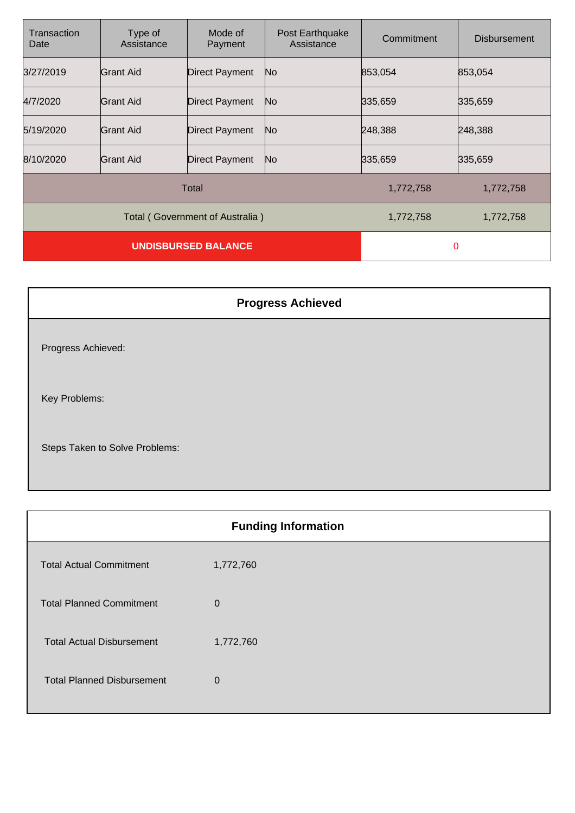| Transaction<br>Date             | Type of<br>Assistance | Mode of<br>Payment    | Post Earthquake<br>Assistance | Commitment | <b>Disbursement</b> |
|---------------------------------|-----------------------|-----------------------|-------------------------------|------------|---------------------|
| 3/27/2019                       | Grant Aid             | Direct Payment        | No                            | 853,054    | 853,054             |
| 4/7/2020                        | Grant Aid             | Direct Payment        | No.                           | 335,659    | 335,659             |
| 5/19/2020                       | <b>Grant Aid</b>      | <b>Direct Payment</b> | No                            | 248,388    | 248,388             |
| 8/10/2020                       | <b>Grant Aid</b>      | Direct Payment        | No                            | 335,659    | 335,659             |
| Total                           |                       |                       | 1,772,758                     | 1,772,758  |                     |
| Total (Government of Australia) |                       |                       | 1,772,758                     | 1,772,758  |                     |
| <b>UNDISBURSED BALANCE</b>      |                       |                       | 0                             |            |                     |

| <b>Progress Achieved</b>       |
|--------------------------------|
| Progress Achieved:             |
| Key Problems:                  |
| Steps Taken to Solve Problems: |

| <b>Funding Information</b>        |             |  |
|-----------------------------------|-------------|--|
| <b>Total Actual Commitment</b>    | 1,772,760   |  |
| <b>Total Planned Commitment</b>   | $\mathbf 0$ |  |
| <b>Total Actual Disbursement</b>  | 1,772,760   |  |
| <b>Total Planned Disbursement</b> | $\mathbf 0$ |  |